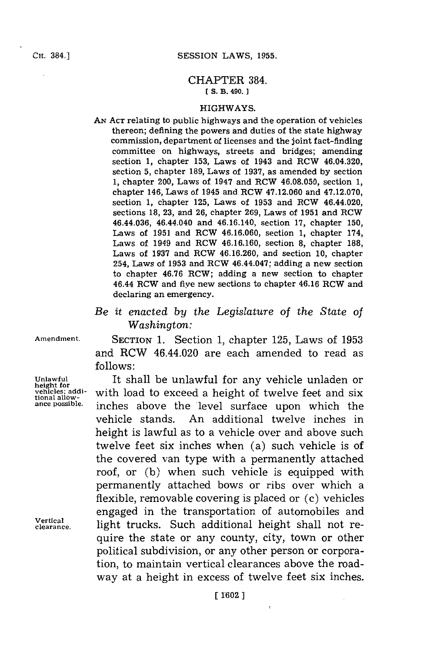## **CH.** 384.]

## CHAPTER 384. **IS. B. 490. 1**

## HIGHWAYS.

- **AN ACT** relating to public highways and the operation of vehicles thereon; defining the powers and duties of the state highway commission, department of licenses and the joint fact-finding committee on highways, streets and bridges; amending section **1,** chapter **153,** Laws of 1943 and RCW 46.04.320, section **5,** chapter **189,** Laws of **1937,** as amended **by** section **1,** chapter 200, Laws of 1947 and RCW **46.08.050,** section **1,** chapter 146, Laws of 1945 and ROW 47.12.060 and **47.12.070,** section **1,** chapter **125,** Laws of **1953** and RCW 46.44.020, sections **18, 23,** and **26,** chapter **269,** Laws of **1951** and RCW 46.44.036, 46.44.040 and 46.16.140, section **17,** chapter **150,** Laws of **1951** and RCW **46.16.060,** section **1,** chapter 174, Laws of 1949 and ROW **46.16.160,** section **8,** chapter **188,** Laws of **1937** and ROW **46.16.260,** and section **10,** chapter 254, Laws of **1953** and ROW 46.44.047; adding a new section to chapter **46.76** RCW; adding a new section to chapter 46.44 ROW and five new sections to chapter 46.16 ROW and declaring an emergency.
- *Be it enacted by the Legislature of the State of Washington:*

**Amendment.** SECTION **1.** Section **1,** chapter **125,** Laws of **1953** and RCW 46.44.020 are each amended to read as **follows:**

**Unlawful** It shall be unlawful for any vehicle unladen or with load to exceed a height of twelve feet and six **tional allow- ance possible.** inches above the 'level surface upon which the vehicle stands. An additional twelve inches in height is lawful as to a vehicle over and above such twelve feet six inches when (a) such vehicle is of the covered van type with a permanently attached roof, or **(b)** when such vehicle is equipped with permanently attached bows or ribs over which a flexible, removable covering is placed or (c) vehicles engaged in the transportation of automobiles and **Vertical CIFE**<br> **Clearance Clearance Dight trucks.** Such additional height shall not require the state or any county, city, town or other political subdivision, or any other person or corporation, to maintain vertical clearances above the roadway at a height in excess of twelve feet six inches.

**height for**<br>vehicles; addi-<br>tional allow-<br>ance possible.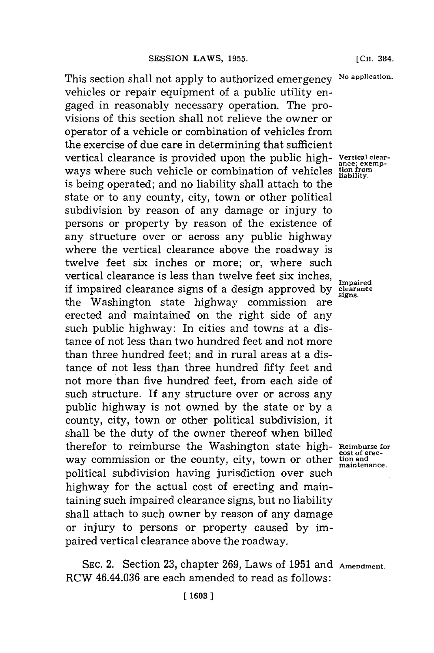This section shall not apply to authorized emergency No application. vehicles or repair equipment of a public utility engaged in reasonably necessary operation. The provisions of this section shall not relieve the owner or operator of a vehicle or combination of vehicles from the exercise of due care in determining that sufficient vertical clearance is provided upon the public high- **vertical clear ance; exemp-**<br>ways where such vehicle or combination of vehicles **tion** from is being operated; and no liability shall attach to the state or to any county, city, town or other political subdivision **by** reason of any damage or injury to persons or property **by** reason of the existence of any structure over or across any public highway where the vertical clearance above the roadway is twelve feet six inches or more; or, where such vertical clearance is less than twelve feet six inches, **Impaired** if impaired clearance signs of a design approved **by clearance** the Washington state highway commission are erected and maintained on the right side of any such public highway: In cities and towns at a distance of not less than two hundred feet and not more than three hundred feet; and in rural areas at a distance of not less than three hundred fifty feet and not more than five hundred feet, from each side of such structure. **If** any structure over or across any public highway is not owned **by** the state or **by** a county, city, town or other political subdivision, it shall be the duty of the owner thereof when billed therefor to reimburse the Washington state high- Reimburse for way commission or the county, city, town or other **tion** and political subdivision having jurisdiction over such highway for the actual cost of erecting and maintaining such impaired clearance signs, but no liability shall attach to such owner **by** reason of any damage or injury to persons or property caused **by** impaired vertical clearance above the roadway.

**[CH.** 384.

**maintenance.**

**SEC.** 2. Section **23,** chapter **269,** Laws of **1951** and **Amendment.** RCW 46.44.036 are each amended to read as follows: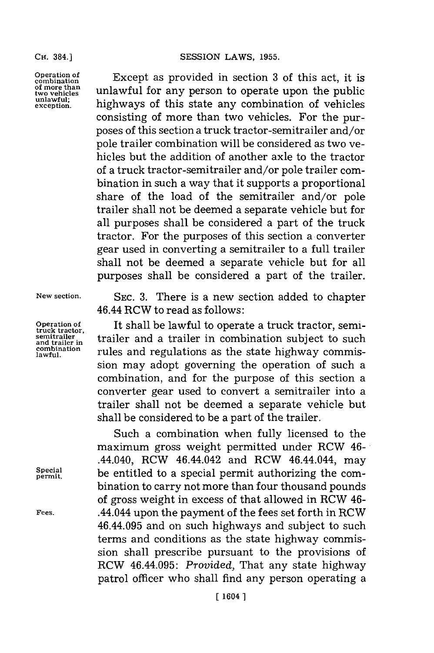**of more than**

**CH.** 384.] **SESSION** LAWS, **1955.**

**comberation** Except as provided in section **3** of this act, it is of more than<br>two vehicles unlawful for any person to operate upon the public<br>unlawful; highways of this state any combination of vehicles **exception.** highways of this state any combination of vehicles consisting of more than two vehicles. For the purposes of this section a truck tractor-semitrailer and/or pole trailer combination will be considered as two vehicles but the addition of another axle to the tractor of a truck tractor-semitrailer and/or pole trailer combination in such a way that it supports a proportional share of the load of the semitrailer and/or pole trailer shall not be deemed a separate vehicle but for all purposes shall be considered a part of the truck tractor. For the purposes of this section a converter gear used in converting a semitrailer to a full trailer shall not be deemed a separate vehicle but for all purposes shall be considered a part of the trailer.

**New section. SEC. 3.** There is a new section added to chapter 46.44 RCW to read as follows:

**Operation of It shall be lawful to operate a truck tractor, semi-**<br> **truck tractor**, **trailer** and a trailer in combination subject to such<br> **discriber in** trailer and a trailer in combination subject to such rules and regulations as the state highway commission may adopt governing the operation of such a combination, and for the purpose of this section a converter gear used to convert a semitrailer into a trailer shall not be deemed a separate vehicle but shall be considered to be a part of the trailer.

Such a combination when fully licensed to the maximum gross weight permitted under RCW 46- .44.040, RCW 46.44.042 and RCW 46.44.044, may  $S_{\text{percial}}$  be entitled to a special permit authorizing the combination to carry not more than four thousand pounds of gross weight in excess of that allowed in RCW 46- **Fees.** .44.044 upon the payment of the fees set forth in RCW 46.44.095 and on such highways and subject to such terms and conditions as the state highway commission shall prescribe pursuant to the provisions of RCW 46.44.095: Provided, That any state highway patrol officer who shall find any person operating a

**combination**<br> **combination**<br> **lawful.**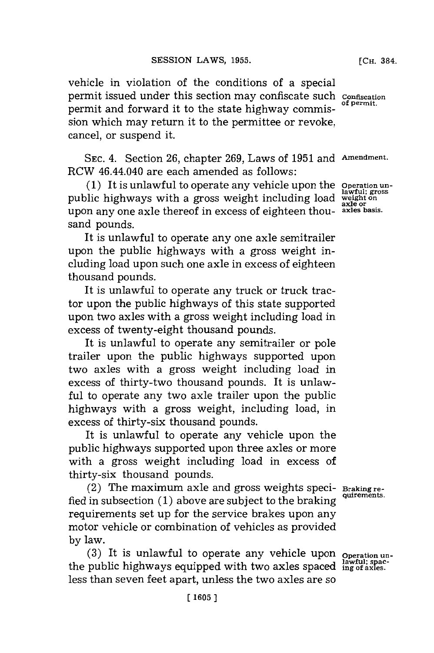vehicle in violation of the conditions of a special permit issued under this section may confiscate such **Confiscation** permit and forward it to the state highway commission which may return it to the permittee or revoke, cancel, or suspend it.

**SEC.** 4. Section **26,** chapter **269,** Laws of **1951** and **Amendment.** RCW 46.44.040 are each amended as follows:

**(1)** It is unlawful to operate any vehicle upon the **Operation un**public highways with a gross weight including load upon any one axle thereof in excess of eighteen thousand pounds.

It is unlawful to operate any one axle semitrailer upon the public highways with a gross weight including load upon such one axle in excess of eighteen thousand pounds.

It is unlawful to operate any truck or truck tractor upon the public highways of this state supported upon two axles with a gross weight including load in excess of twenty-eight thousand pounds.

It is unlawful to operate any semitrailer or pole trailer upon the public highways supported upon two axles with a gross weight including load in excess of thirty-two thousand pounds. It is unlawful to operate any two axle trailer upon the public highways with a gross weight, including load, in excess of thirty-six thousand pounds.

It is unlawful to operate any vehicle upon the public highways supported upon three axles or more with a gross weight including load in excess of thirty-six thousand pounds.

(2) The maximum axle and gross weights speci- **Braking re**fied in subsection (1) above are subject to the braking requirements set up for the service brakes upon any motor vehicle or combination of vehicles as provided **by** law.

(3) It is unlawful to operate any vehicle upon **operation** unthe public highways equipped with two axles spaced  $\frac{lawful; space}{ing of a xles.}$ less than seven feet apart, unless the two axles are so

**axle or**

**[CH.** 384.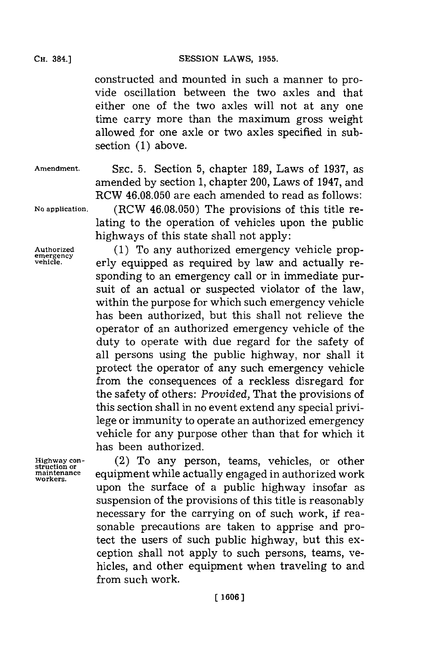constructed and mounted in such a manner to provide oscillation between the two axles and that either one of the two axles will not at any one time carry more than the maximum gross weight allowed for one axle or two axles specified in subsection **(1)** above.

**Amendment. SEC. 5.** Section **5,** chapter **189,** Laws of **1937,** as

amended **by** section **1,** chapter 200, Laws of 1947, and RCW **46.08.050** are each amended to read as follows: **No application.** (RCW **46.08.050)** The provisions of this title relating to the operation of vehicles upon the public highways of this state shall not apply:

Authorized **(1) To any authorized emergency vehicle prop-** emergency **or the constant of the constant of the constant of the vehicle**  $\mathbf{r}$  **and**  $\mathbf{r}$  **actually revehicle.** erly equipped as required **by** law and actually responding to an emergency call or in immediate pursuit of an actual or suspected violator of the law, within the purpose for which such emergency vehicle has been authorized, but this shall not relieve the operator of an authorized emergency vehicle of the duty to operate with due regard for the safety of all persons using the public highway, nor shall it protect the operator of any such emergency vehicle from the consequences of a reckless disregard for the safety of others: *Provided,* That the provisions of this section shall in no event extend any special privilege or immunity to operate an authorized emergency vehicle for any purpose other than that for which it has been authorized.

**Highway con-** (2) To any person, teams, vehicles, or other struction or<br>maintenance **business in a proport while actually engaged in authorized work<br>workers.** upon the surface of a public highway insofar as suspension of the provisions of this title is reasonably necessary for the carrying on of such work, **if** reasonable precautions are taken to apprise and protect the users of such public highway, but this exception shall not apply to such persons, teams, vehicles, and other equipment when traveling to and from such work.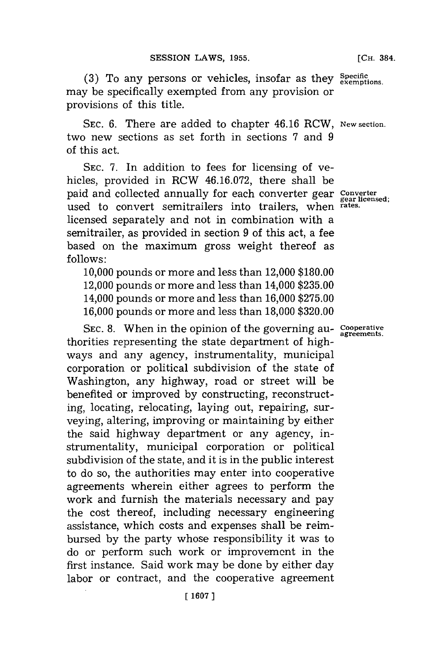(3) To any persons or vehicles, insofar as they specific exemptions. may be specifically exempted from any provision or provisions of this title.

**SEC. 6.** There are added to chapter 46.16 RCW, **New section.** two new sections as set forth in sections **7** and **9** of this act.

**SEC. 7.** In addition to fees for licensing of vehicles, provided in RCW **46.16.072,** there shall be paid and collected annually for each converter gear **Converter** used to convert semitrailers into trailers, when **rates.** licensed separately and not in combination with a semitrailer, as provided in section **9** of this act, a fee based on the maximum gross weight thereof as **follows:**

**10,000** pounds or more and less than 12,000 **\$180.00** 12,000 pounds or more and less than 14,000 **\$235.00** 14,000 pounds or more and less than **16,000 \$275.00 16,000** pounds or more and less than **18,000 \$320.00**

SEC. 8. When in the opinion of the governing au- **Cooperative** agreements. thorities representing the state department of highways and any agency, instrumentality, municipal corporation or political subdivision of the state of Washington, any highway, road or street will be benefited or improved **by** constructing, reconstructing, locating, relocating, laying out, repairing, surveying, altering, improving or maintaining **by** either the said highway department or any agency, instrumentality, municipal corporation or political subdivision of the state, and it is in the public interest to do so, the authorities may enter into cooperative agreements wherein either agrees to perform the work and furnish the materials necessary and pay the cost thereof, including necessary engineering assistance, which costs and expenses shall be reimbursed **by** the party whose responsibility it was to do or perform such work or improvemcnt in the first instance. Said work may be done **by** either day labor or contract, and the cooperative agreement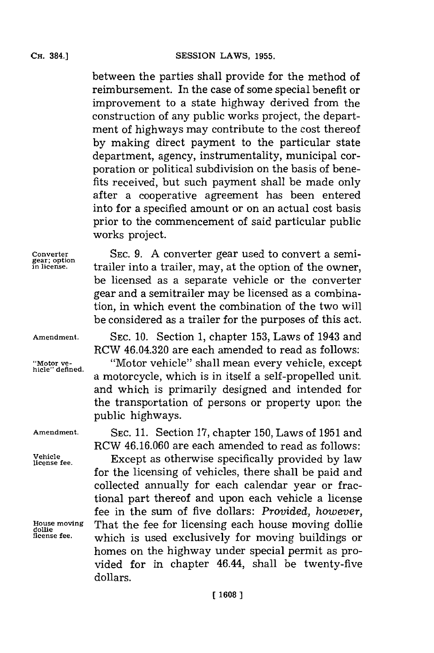between the parties shall provide for the method of reimbursement. In the case of some special benefit or improvement to a state highway derived from the construction of any public works project, the department of highways may contribute to the cost thereof **by** making direct payment to the particular state department, agency, instrumentality, municipal corporation or political subdivision on the basis of benefits received, but such payment shall be made only after a cooperative agreement has been entered into **for** a specified amount or on an actual cost basis prior to the commencement of said particular public works project.

**Converter SEC. 9. A** converter gear used to convert a semitrailer into a trailer, may, at the option of the owner, be licensed as a separate vehicle or the converter gear and a semitrailer may be licensed as a combination, in which event the combination of the two will be considered as a trailer for the purposes of this act.

**Amendment. SEC. 10.** Section **1,** chapter **153,** Laws of 1943 and RCW 46.04.320 are each amended to read as follows:

**"Motor ye-** "Motor vehicle" shall mean every vehicle, except a motorcycle, which is in itself a self-propelled unit. and which is primarily designed and intended for the transportation of persons or property upon the public highways.

**Amendment. SEC. 11.** Section **17,** chapter **150,** Laws of **1951** and RCW **46.16.060** are each amended to read as follows:

Except as otherwise specifically provided by law for the licensing of vehicles, there shall be paid and collected annually for each calendar year or fractional part thereof and upon each vehicle a license fee in the sum of five dollars: *Provided, however,* **House moving** That the fee for licensing each house moving dollie which is used exclusively for moving buildings or homes on the highway under special permit as provided for in chapter 46.44, shall be twenty-five dollars.

Vehicle<br>license fee.

**dollie**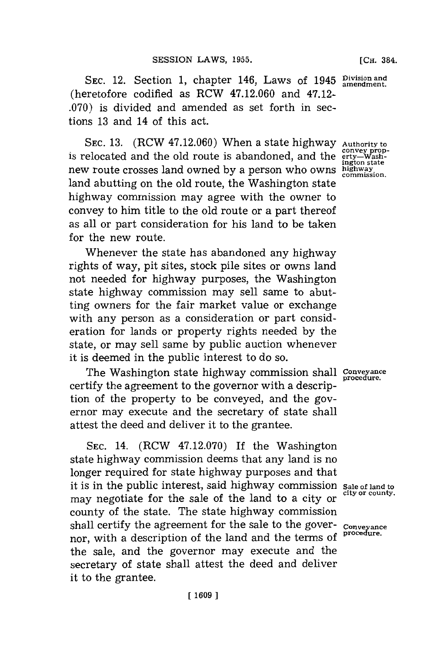**SEC.** 12. Section **1,** chapter 146, Laws of 1945 **Division and amendment.** (heretofore codified as RCW 47.12.060 and 47.12- **.070)** is divided and amended as set forth in sections **13** and 14 of this act.

**SEC. 13.** (RCW 47.12.060) When a state highway **Authority to** is relocated and the old route is abandoned, and the new route crosses land owned **by** a person who owns **highway. commission.** land abutting on the old route, the Washington state highway commission may agree with the owner to convey to him title to the old route or a part thereof as all or part consideration for his land to be taken for the new route.

Whenever the state has abandoned any highway rights of way, pit sites, stock pile sites or owns land not needed for highway purposes, the Washington state highway commission may sell same to abutting owners for the fair market value or exchange with any person as a consideration or part consideration for lands or property rights needed **by** the state, or may sell same **by** public auction whenever it is deemed in the public interest to do so.

The Washington state highway commission shall **Conveyance** certify the agreement to the governor with a description of the property to be conveyed, and the governor may execute and the secretary of state shall attest the deed and deliver it to the grantee.

**SEC.** 14. (RCW **47.12.070)** If the Washington state highway commission deems that any land is no longer required for state highway purposes and that it is in the public interest, said highway commission **Sale of land to** may negotiate for the sale of the land to a city or county of the state. The state highway commission shall certify the agreement for the sale to the gover- conveyance<br>it is a description of the land and the tames of Procedure. nor, with a description of the land and the terms of the sale, and the governor may execute and the secretary of state shall attest the deed and deliver it to the grantee.

**[CH.** 384.

raturer<br>
convey prop-<br>
erty—Wash-<br>
ington state<br>
highway<br>
commission.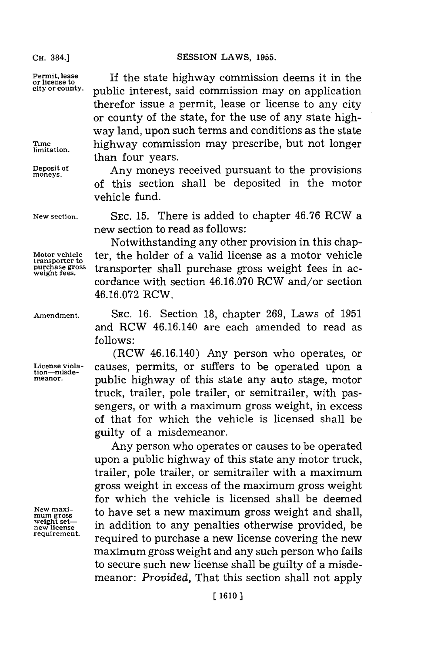**transporter to**

Permit, lease **If the state highway commission deems it in the** or license to **city or county.** public interest, said commission may on application therefor issue a permit, lease or license to any city or county of the state, for the use of any state highway land, upon such terms and conditions as the state Time highway commission may prescribe, but not longer than four years.

Deposit of **Any moneys received pursuant to the provisions** of this section shall be deposited in the motor vehicle fund.

**New section. SEC. 15.** There is added to chapter **46.76** RCW a new section to read as follows:

Notwithstanding any other provision in this chap-**Motor vehicle** ter, the holder of a valid license as a motor vehicle purchase gross transporter shall purchase gross weight fees in accordance with section **46.16.070** RCW and/or section **46.16.072** RCW.

**Amendment. SEC. 16.** Section **18,** chapter **269,** Laws of **1951** and RCW 46.16.140 are each amended to read as **follows:**

(RCW 46.16.140) Any person who operates, or **License viola-** causes, permits, or suffers to be operated upon a **tion-misde-** meanor. public highway of this state any auto stage, motor truck, trailer, pole trailer, or semitrailer, with passengers, or with a maximum gross weight, in excess of that for which the vehicle is licensed shall be guilty of a misdemeanor.

Any person who operates or causes to be operated upon a public highway of this state any motor truck, trailer, pole trailer, or semitrailer with a maximum gross weight in excess of the maximum gross weight for which the vehicle is licensed shall be deemed **New maxi-** to have set a new maximum gross weight and shall, **mum gross** weight set—<br>
new license<br> **new license of the multiple of the contract of the contract of the contract of the contract of the contract of the contract of the contract of the contract of the contract of the contract of the** required to purchase a new license covering the new maximum gross weight and any such person who fails to secure such new license shall be guilty of a misdemeanor: *Provided,* That this section shall not apply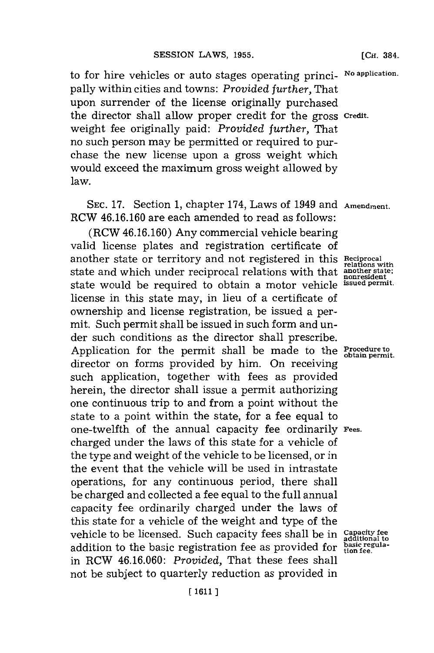to for hire vehicles or auto stages operating princi- No application. pally within cities and towns: *Provided further,* That upon surrender of the license originally purchased the director shall allow proper credit for the gross **credit.** weight fee originally paid: *Provided further,* That no such person may be permitted or required to purchase the new license upon a gross weight which would exceed the maximum gross weight allowed **by** law.

**SEC. 17.** Section **1,** chapter 174, Laws of 1949 and **Amendment.** RCW **46.16.160** are each amended to read as follows:

(RCW **46.16.160)** Any commercial vehicle bearing valid license plates and registration certificate of another state or territory and not registered in this Reciprocal relations with state and which under reciprocal relations with that **another state;** state would be required to obtain a motor vehicle **issued permit.** license in this state may, in lieu of a certificate of ownership and license registration, be issued a permit. Such permit shall be issued in such form and under such conditions as the director shall prescribe. Application for the permit shall be made to the **Procedure to obtain permit.** director on forms provided **by** him. On receiving such application, together with fees as provided herein, the director shall issue a permit authorizing one continuous trip to and from a point without the state to a point within the state, for a fee equal to one-twelfth of the annual capacity fee ordinarily **Fees.** charged under the laws of this state **for** a vehicle of the type and weight of the vehicle to be licensed, or in the event that the vehicle will be used in intrastate operations, for any continuous period, there shall be charged and collected a fee equal to the full annual capacity fee ordinarily charged under the laws of this state **for** a vehicle of the weight and type of the vehicle to be licensed. Such capacity fees shall be in **Capacity fee** addition to the basic registration fee as provided for **basic regula- tion fee.** in RCW **46.16.060:** *Provided,* That these fees shall not be subject to quarterly reduction as provided in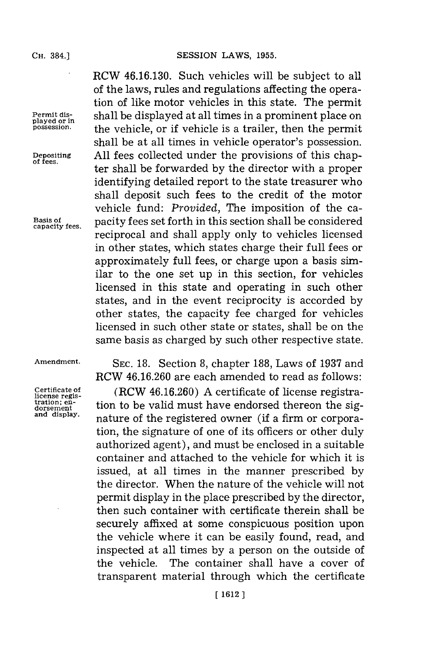**played or in**

RCW **46.16.130.** Such vehicles will be subject to all of the laws, rules and regulations affecting the operation of like motor vehicles in this state. The permit **Permit dis-** shall be displayed at all times in a prominent place on **possession,** the vehicle, or if vehicle is a trailer, then the permit shall be at all times in vehicle operator's possession. **Depositing All** fees collected under the provisions of this chap- **of fees.** ter shall be forwarded **by** the director with a proper identifying detailed report to the state treasurer who shall deposit such fees to the credit of the motor vehicle fund: *Provided,* The imposition of the ca- Basis of **paid** equality fees set forth in this section shall be considered reciprocal and shall apply only to vehicles licensed in other states, which states charge their full fees or approximately full fees, or charge upon a basis similar to the one set up in this section, for vehicles licensed in this state and operating in such other states, and in the event reciprocity is accorded **by** other states, the capacity fee charged for vehicles licensed in such other state or states, shall be on the same basis as charged **by** such other respective state.

**Amendment. SEC. 18.** Section **8,** chapter **188,** Laws of **1937** and RCW **46.16.260** are each amended to read as follows:

**Certificate of (RCW 46.16.260)** A certificate of license registra-<br>license regis-<br>traition; en-<br>tion to be volid must have ondersed thereon the sigtration; en-<br>dorsement ion to be valid must have endorsed thereon the sig-<br>and display. <br>nature of the registered owner (if a firm or corporation, the signature of one of its officers or other duly authorized agent), and must be enclosed in a suitable container and attached to the vehicle for which it is issued, at all times in the manner prescribed **by** the director. When the nature of the vehicle will not permit display in the place prescribed **by** the director, then such container with certificate therein shall be securely affixed at some conspicuous position upon the vehicle where it can be easily found, read, and inspected at all times **by** a person on the outside of the vehicle. The container shall have a cover of transparent material through which the certificate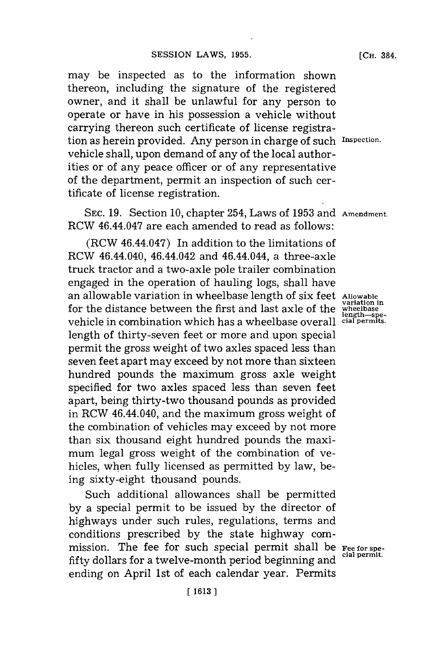may be inspected as to the information shown thereon, including the signature of the registered owner, and it shall be unlawful for any person to operate or have in his possession a vehicle without carrying thereon such certificate of license registration as herein provided. Any person in charge of such **Inspection.** vehicle shall, upon demand of any of the local authorities or of any peace officer or of any representative of the department, permit an inspection of such certificate of license registration.

**SEC. 19.** Section **10,** chapter 254, Laws of **1953** and **Amendment.** RCW 46.44.047 are each amended to read as follows:

(RCW 46.44.047) In addition to the limitations of RCW 46.44.040, 46.44.042 and 46.44.044, a three-axle truck tractor and a two-axle pole trailer combination engaged in the operation of hauling logs, shall have an allowable variation in wheelbase length of six feet **Allow'abe** for the distance between the first and last axle of the **wheelbase length-spe-**vehicle in combination which has a wheelbase overall **cial permits.** length of thirty-seven feet or more and upon special permit the gross weight of two axles spaced less than seven feet apart may exceed **by** not more than sixteen hundred pounds the maximum gross axle weight specified for two axles spaced less than seven feet apart, being thirty-two thousand pounds as provided in RCW 46.44.040, and the maximum gross weight of the combination of vehicles may exceed **by** not more than six thousand eight hundred pounds the maximum legal gross weight of the combination of vehicles, when fully licensed as permitted **by** law, being sixty-eight thousand pounds.

Such additional allowances shall be permitted **by** a special permit to be issued **by** the director of highways under such rules, regulations, terms and conditions prescribed **by** the state highway commission. The fee for such special permit shall be **Fee for spe-**<br>  $\frac{1}{2}$  cial permit. fifty dollars for a twelve-month period beginning and ending on April 1st of each calendar year. Permits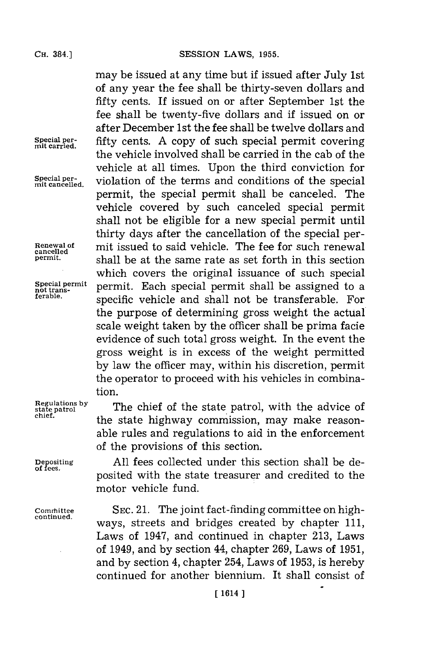**Renewal of**<br>cancelled<br>permit.

**Special permit**

**chief.**

**of fees.**

SESSION LAWS, 1955.

may be issued at any time but if issued after July 1st of any year the fee shall be thirty-seven dollars and fifty cents. If issued on or after September 1st the fee shall be twenty-five dollars and if issued on or after December 1st the fee shall be twelve dollars and Special per-<br>mit carried. fifty cents. A copy of such special permit covering the vehicle involved shall be carried in the cab of the vehicle at all times. Upon the third conviction for Special per-<br>mit cancelled, violation of the terms and conditions of the special permit, the special permit shall be canceled. The vehicle covered **by** such canceled special permit shall not be eligible for a new special permit until thirty days after the cancellation of the special permit issued to said vehicle. The fee for such renewal shall be at the same rate as set forth in this section which covers the original issuance of such special Special permit permit. Each special permit shall be assigned to a not trans-<br>retable. The created unclear the function of the transformable. For **ferable.** specific vehicle and shall not be transferable. For the purpose of determining gross weight the actual scale weight taken **by** the officer shall be prima facie evidence of such total gross weight. In the event the gross weight is in excess of the weight permitted **by** law the officer may, within his discretion, permit the operator to proceed with his vehicles in combination.

**Regulations by** The chief of the state patrol, with the advice of the state highway commission, may make reasonable rules and regulations to aid in the enforcement of the provisions of this section.

> All fees collected under this section shall be deposited with the state treasurer and credited to the motor vehicle fund.

Committee SEC. 21. The joint fact-finding committee on high-<br>continued. ways, streets and bridges created by chapter 111, Laws of 1947, and continued in chapter **213,** Laws of 1949, and **by** section 44, chapter **269,** Laws of **1951,** and **by** section 4, chapter 254, Laws of **1953,** is hereby continued for another biennium. It shall consist of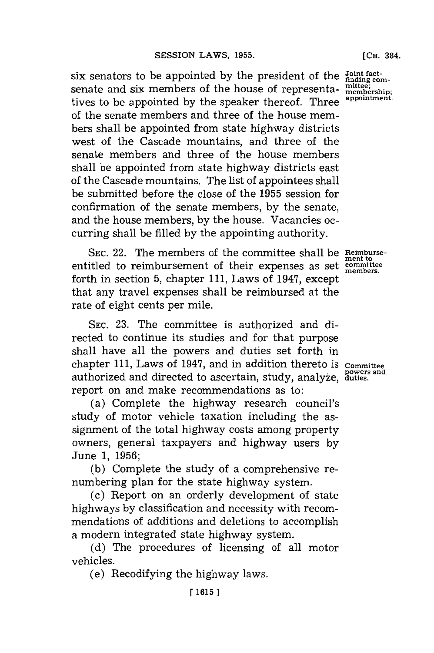six senators to be appointed by the president of the Joint fact-<br>constant of the house of represents mittee: senate and six members of the house of representa-  $\frac{\text{mittee}}{\text{membership}}$ ; tives to be appointed by the speaker thereof. Three of the senate members and three of the house members shall be appointed from state highway districts west of the Cascade mountains, and three of the senate members and three of the house members shall be appointed from state highway districts east of the Cascade mountains. The list of appointees shall be submitted before the close of the **1955** session for confirmation of the senate members, **by** the senate, and the house members, **by** the house. Vacancies occurring shall be filled **by** the appointing authority.

**SEC.** 22. The members of the committee shall be **Reimburse**entitled to reimbursement of their expenses as set **committee members.** forth in section **5,** chapter **111,** Laws of 1947, except that any travel expenses shall be reimbursed at the rate of eight cents per mile.

**SEC. 23.** The committee is authorized and directed to continue its studies and for that purpose shall have all the powers and duties set forth in chapter 111, Laws of 1947, and in addition thereto is committee powers and authorized and directed to ascertain, study, analyze, duties. report on and make recommendations as to:

(a) Complete the highway research council's study of motor vehicle taxation including the assignment of the total highway costs among property owners, general taxpayers and highway users **by** June **1, 1956;**

**(b)** Complete the study of a comprehensive renumbering plan for the state highway system.

(c) Report on an orderly development of state highways **by** classification and necessity with recommendations of additions and deletions to accomplish a modern integrated state highway system.

**(d)** The procedures of licensing of all motor vehicles.

(e) Recodifying the highway laws.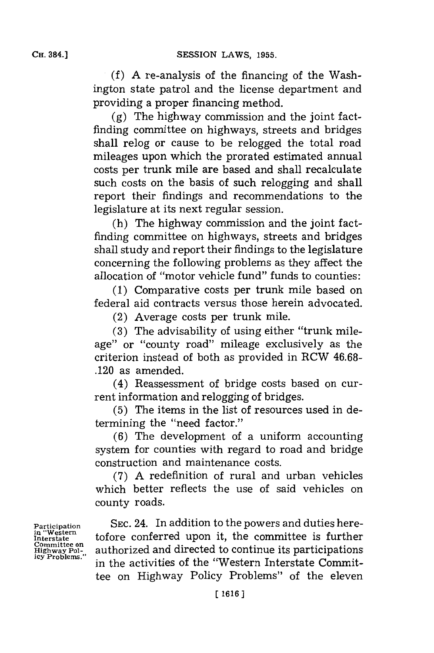**(f) A** re-analysis of the financing of the Washington state patrol and the license department and providing a proper financing method.

**(g)** The highway commission and the joint factfinding committee on highways, streets and bridges shall relog or cause to be relogged the total road mileages upon which the prorated estimated annual costs per trunk mile are based and shall recalculate such costs on the basis of such relogging and shall report their findings and recommendations to the legislature at its next regular session.

(h) The highway commission and the joint factfinding committee on highways, streets and bridges shall study and report their findings to the legislature concerning the following problems as they affect the allocation of "motor vehicle fund" funds to counties:

**(1)** Comparative costs per trunk mile based on federal aid contracts versus those herein advocated.

(2) Average costs per trunk mile.

**(3)** The advisability of using either "trunk mileage" or "county road" mileage exclusively as the criterion instead of both as provided in RCW **46.68-** .120 as amended.

(4) Reassessment of bridge costs based on current information and relogging of bridges.

**(5)** The items in the list of resources used in determining the "need factor."

**(6)** The development of a uniform accounting system for counties with regard to road and bridge construction and maintenance costs.

**(7) A** redefinition of rural and urban vehicles which better reflects the use of said vehicles on county roads.

**in "Western**

**SEC. 24.** In addition to the powers and duties here-In western<br>Interstate tof ore conferred upon it, the committee is further **Highway Pol-** authorized and directed to continue its participations in the activities of the "Western Interstate Committee on Highway Policy Problems" of the eleven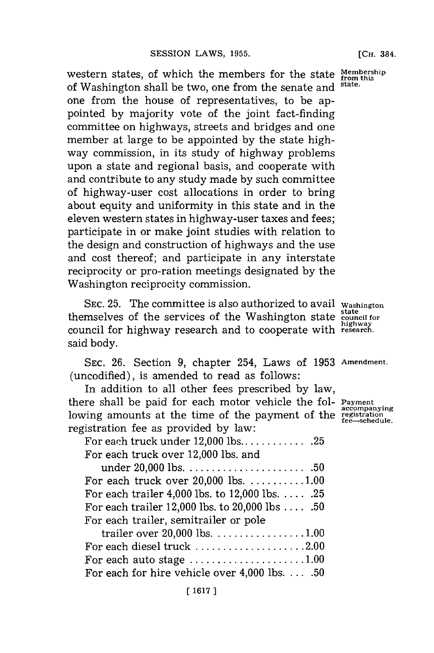western states, of which the members for the state **Membership** of Washington shall be two, one from the senate and **state.** one from the house of representatives, to be appointed **by** majority vote of the joint fact-finding committee on highways, streets and bridges and one member at large to be appointed **by** the state highway commission, in its study of highway problems upon a state and regional basis, and cooperate with and contribute to any study made **by** such committee of highway-user cost allocations in order to bring about equity and uniformity in this state and in the eleven western states in highway-user taxes and fees; participate in or make joint studies with relation to the design and construction of highways and the use and cost thereof; and participate in any interstate reciprocity or pro-ration meetings designated **by** the Washington reciprocity commission.

SEC. 25. The committee is also authorized to avail washington themselves of the services of the Washington state **state council for** council for highway research and to cooperate with **highway research.** said body.

**SEC. 26.** Section **9,** chapter 254, Laws of **1953 Amendment.** (uncodified), is amended to read as follows:

In addition to all other fees prescribed **by** law, there shall be paid for each motor vehicle the fol- **Payment** lowing amounts at the time of the payment of the **registration** the *registration* the *registration* the *registration* the *registration* registration fee as provided **by** law:

For each truck under 12,000 lbs **............ 25** For each truck over 12,000 lbs. and

| For each truck over $20,000$ lbs. $\dots\dots\dots\dots$ |  |
|----------------------------------------------------------|--|
| For each trailer 4,000 lbs. to $12,000$ lbs.  .25        |  |
| For each trailer 12,000 lbs. to 20,000 lbs 50            |  |
| For each trailer, semitrailer or pole                    |  |

| trailer over $20,000$ lbs. 1.00                               |  |
|---------------------------------------------------------------|--|
| For each diesel truck 2.00                                    |  |
| For each auto stage $\dots\dots\dots\dots\dots\dots\dots1.00$ |  |
| For each for hire vehicle over $4,000$ lbs.50                 |  |

**[CH.** 384.